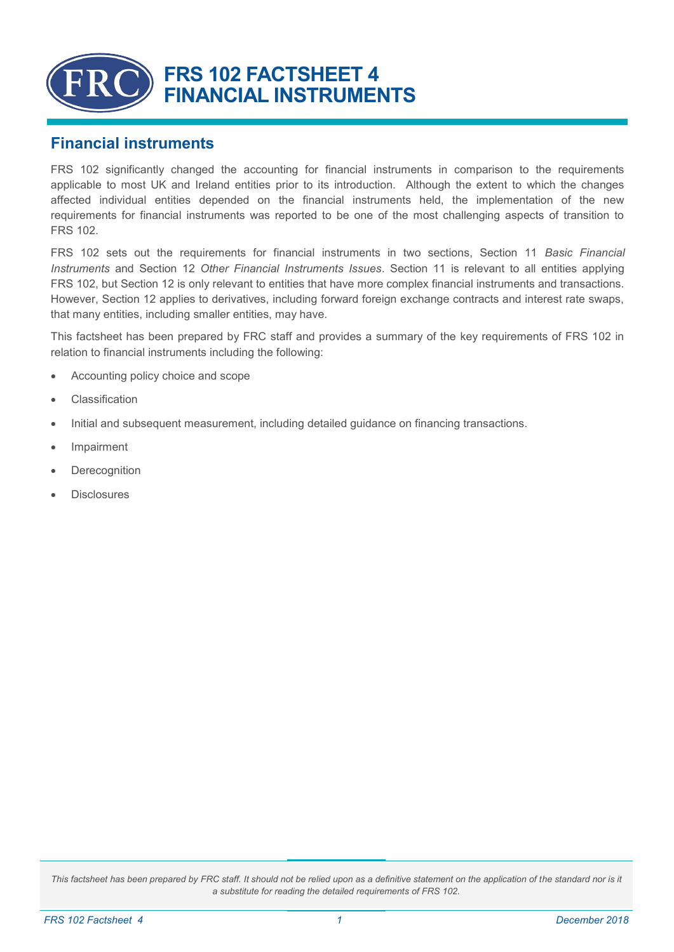

### **Financial instruments**

FRS 102 significantly changed the accounting for financial instruments in comparison to the requirements applicable to most UK and Ireland entities prior to its introduction. Although the extent to which the changes affected individual entities depended on the financial instruments held, the implementation of the new requirements for financial instruments was reported to be one of the most challenging aspects of transition to FRS 102.

FRS 102 sets out the requirements for financial instruments in two sections, Section 11 *Basic Financial Instruments* and Section 12 *Other Financial Instruments Issues*. Section 11 is relevant to all entities applying FRS 102, but Section 12 is only relevant to entities that have more complex financial instruments and transactions. However, Section 12 applies to derivatives, including forward foreign exchange contracts and interest rate swaps, that many entities, including smaller entities, may have.

This factsheet has been prepared by FRC staff and provides a summary of the key requirements of FRS 102 in relation to financial instruments including the following:

- Accounting policy choice and scope
- **Classification**
- Initial and subsequent measurement, including detailed guidance on financing transactions.
- **Impairment**
- **Derecognition**
- **Disclosures**

This factsheet has been prepared by FRC staff. It should not be relied upon as a definitive statement on the application of the standard nor is it *a substitute for reading the detailed requirements of FRS 102.*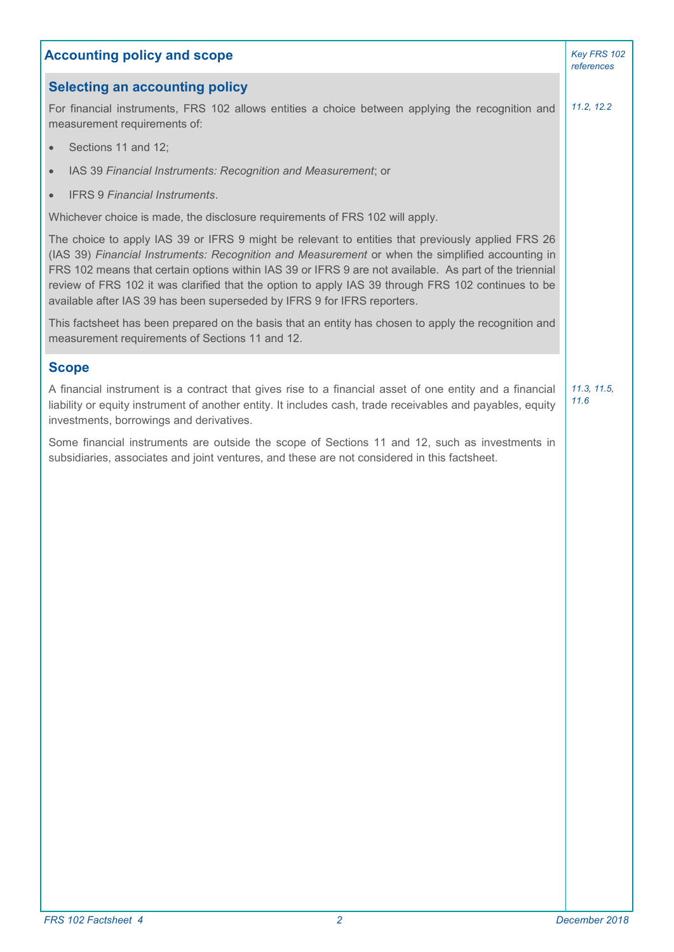| <b>Accounting policy and scope</b>                                                                                                                                                                                                                                                                                                                                                                                                                                                                |                     |
|---------------------------------------------------------------------------------------------------------------------------------------------------------------------------------------------------------------------------------------------------------------------------------------------------------------------------------------------------------------------------------------------------------------------------------------------------------------------------------------------------|---------------------|
| <b>Selecting an accounting policy</b>                                                                                                                                                                                                                                                                                                                                                                                                                                                             |                     |
| For financial instruments, FRS 102 allows entities a choice between applying the recognition and<br>measurement requirements of:                                                                                                                                                                                                                                                                                                                                                                  | 11.2, 12.2          |
| Sections 11 and 12;<br>$\bullet$                                                                                                                                                                                                                                                                                                                                                                                                                                                                  |                     |
| IAS 39 Financial Instruments: Recognition and Measurement; or<br>$\bullet$                                                                                                                                                                                                                                                                                                                                                                                                                        |                     |
| <b>IFRS 9 Financial Instruments.</b>                                                                                                                                                                                                                                                                                                                                                                                                                                                              |                     |
| Whichever choice is made, the disclosure requirements of FRS 102 will apply.                                                                                                                                                                                                                                                                                                                                                                                                                      |                     |
| The choice to apply IAS 39 or IFRS 9 might be relevant to entities that previously applied FRS 26<br>(IAS 39) Financial Instruments: Recognition and Measurement or when the simplified accounting in<br>FRS 102 means that certain options within IAS 39 or IFRS 9 are not available. As part of the triennial<br>review of FRS 102 it was clarified that the option to apply IAS 39 through FRS 102 continues to be<br>available after IAS 39 has been superseded by IFRS 9 for IFRS reporters. |                     |
| This factsheet has been prepared on the basis that an entity has chosen to apply the recognition and<br>measurement requirements of Sections 11 and 12.                                                                                                                                                                                                                                                                                                                                           |                     |
| <b>Scope</b>                                                                                                                                                                                                                                                                                                                                                                                                                                                                                      |                     |
| A financial instrument is a contract that gives rise to a financial asset of one entity and a financial<br>liability or equity instrument of another entity. It includes cash, trade receivables and payables, equity<br>investments, borrowings and derivatives.                                                                                                                                                                                                                                 | 11.3, 11.5,<br>11.6 |
| Some financial instruments are outside the scope of Sections 11 and 12, such as investments in<br>subsidiaries, associates and joint ventures, and these are not considered in this factsheet.                                                                                                                                                                                                                                                                                                    |                     |
|                                                                                                                                                                                                                                                                                                                                                                                                                                                                                                   |                     |
|                                                                                                                                                                                                                                                                                                                                                                                                                                                                                                   |                     |
|                                                                                                                                                                                                                                                                                                                                                                                                                                                                                                   |                     |
|                                                                                                                                                                                                                                                                                                                                                                                                                                                                                                   |                     |
|                                                                                                                                                                                                                                                                                                                                                                                                                                                                                                   |                     |
|                                                                                                                                                                                                                                                                                                                                                                                                                                                                                                   |                     |
|                                                                                                                                                                                                                                                                                                                                                                                                                                                                                                   |                     |
|                                                                                                                                                                                                                                                                                                                                                                                                                                                                                                   |                     |
|                                                                                                                                                                                                                                                                                                                                                                                                                                                                                                   |                     |
|                                                                                                                                                                                                                                                                                                                                                                                                                                                                                                   |                     |
|                                                                                                                                                                                                                                                                                                                                                                                                                                                                                                   |                     |
|                                                                                                                                                                                                                                                                                                                                                                                                                                                                                                   |                     |
|                                                                                                                                                                                                                                                                                                                                                                                                                                                                                                   |                     |
|                                                                                                                                                                                                                                                                                                                                                                                                                                                                                                   |                     |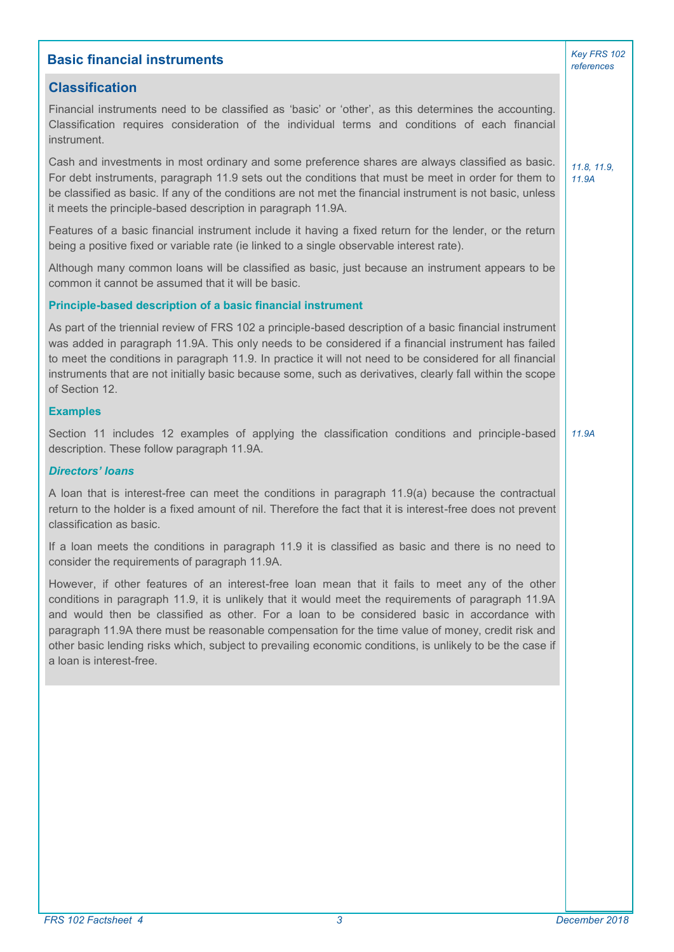| <b>Basic financial instruments</b>                                                                                                                                                                                                                                                                                                                                                                                                                                                                                                                   | Key FRS 102<br>references |
|------------------------------------------------------------------------------------------------------------------------------------------------------------------------------------------------------------------------------------------------------------------------------------------------------------------------------------------------------------------------------------------------------------------------------------------------------------------------------------------------------------------------------------------------------|---------------------------|
| <b>Classification</b>                                                                                                                                                                                                                                                                                                                                                                                                                                                                                                                                |                           |
| Financial instruments need to be classified as 'basic' or 'other', as this determines the accounting.<br>Classification requires consideration of the individual terms and conditions of each financial<br>instrument.                                                                                                                                                                                                                                                                                                                               |                           |
| Cash and investments in most ordinary and some preference shares are always classified as basic.<br>For debt instruments, paragraph 11.9 sets out the conditions that must be meet in order for them to<br>be classified as basic. If any of the conditions are not met the financial instrument is not basic, unless<br>it meets the principle-based description in paragraph 11.9A.                                                                                                                                                                | 11.8, 11.9,<br>11.9A      |
| Features of a basic financial instrument include it having a fixed return for the lender, or the return<br>being a positive fixed or variable rate (ie linked to a single observable interest rate).                                                                                                                                                                                                                                                                                                                                                 |                           |
| Although many common loans will be classified as basic, just because an instrument appears to be<br>common it cannot be assumed that it will be basic.                                                                                                                                                                                                                                                                                                                                                                                               |                           |
| Principle-based description of a basic financial instrument                                                                                                                                                                                                                                                                                                                                                                                                                                                                                          |                           |
| As part of the triennial review of FRS 102 a principle-based description of a basic financial instrument<br>was added in paragraph 11.9A. This only needs to be considered if a financial instrument has failed<br>to meet the conditions in paragraph 11.9. In practice it will not need to be considered for all financial<br>instruments that are not initially basic because some, such as derivatives, clearly fall within the scope<br>of Section 12.                                                                                          |                           |
| <b>Examples</b>                                                                                                                                                                                                                                                                                                                                                                                                                                                                                                                                      |                           |
| Section 11 includes 12 examples of applying the classification conditions and principle-based<br>description. These follow paragraph 11.9A.                                                                                                                                                                                                                                                                                                                                                                                                          | 11.9A                     |
| <b>Directors' loans</b>                                                                                                                                                                                                                                                                                                                                                                                                                                                                                                                              |                           |
| A loan that is interest-free can meet the conditions in paragraph 11.9(a) because the contractual<br>return to the holder is a fixed amount of nil. Therefore the fact that it is interest-free does not prevent<br>classification as basic.                                                                                                                                                                                                                                                                                                         |                           |
| If a loan meets the conditions in paragraph 11.9 it is classified as basic and there is no need to<br>consider the requirements of paragraph 11.9A.                                                                                                                                                                                                                                                                                                                                                                                                  |                           |
| However, if other features of an interest-free loan mean that it fails to meet any of the other<br>conditions in paragraph 11.9, it is unlikely that it would meet the requirements of paragraph 11.9A<br>and would then be classified as other. For a loan to be considered basic in accordance with<br>paragraph 11.9A there must be reasonable compensation for the time value of money, credit risk and<br>other basic lending risks which, subject to prevailing economic conditions, is unlikely to be the case if<br>a loan is interest-free. |                           |
|                                                                                                                                                                                                                                                                                                                                                                                                                                                                                                                                                      |                           |
|                                                                                                                                                                                                                                                                                                                                                                                                                                                                                                                                                      |                           |
|                                                                                                                                                                                                                                                                                                                                                                                                                                                                                                                                                      |                           |
|                                                                                                                                                                                                                                                                                                                                                                                                                                                                                                                                                      |                           |
|                                                                                                                                                                                                                                                                                                                                                                                                                                                                                                                                                      |                           |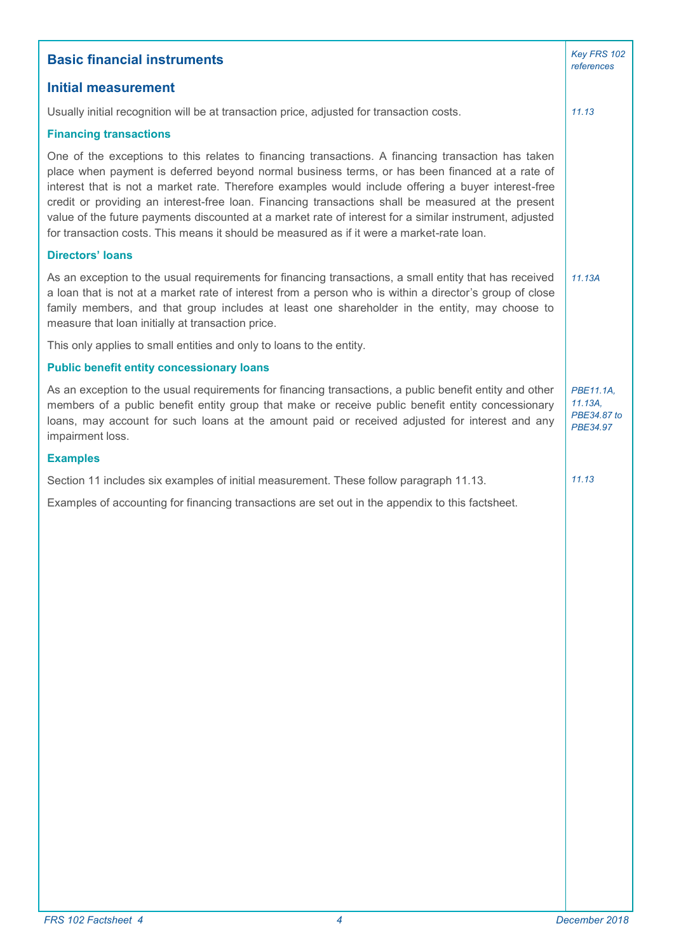| <b>Basic financial instruments</b>                                                                                                                                                                                                                                                                                                                                                                                                                                                                                                                                                                                        |                                                    |  |  |  |
|---------------------------------------------------------------------------------------------------------------------------------------------------------------------------------------------------------------------------------------------------------------------------------------------------------------------------------------------------------------------------------------------------------------------------------------------------------------------------------------------------------------------------------------------------------------------------------------------------------------------------|----------------------------------------------------|--|--|--|
| <b>Initial measurement</b>                                                                                                                                                                                                                                                                                                                                                                                                                                                                                                                                                                                                |                                                    |  |  |  |
| Usually initial recognition will be at transaction price, adjusted for transaction costs.                                                                                                                                                                                                                                                                                                                                                                                                                                                                                                                                 |                                                    |  |  |  |
| <b>Financing transactions</b>                                                                                                                                                                                                                                                                                                                                                                                                                                                                                                                                                                                             |                                                    |  |  |  |
| One of the exceptions to this relates to financing transactions. A financing transaction has taken<br>place when payment is deferred beyond normal business terms, or has been financed at a rate of<br>interest that is not a market rate. Therefore examples would include offering a buyer interest-free<br>credit or providing an interest-free loan. Financing transactions shall be measured at the present<br>value of the future payments discounted at a market rate of interest for a similar instrument, adjusted<br>for transaction costs. This means it should be measured as if it were a market-rate loan. |                                                    |  |  |  |
| <b>Directors' loans</b>                                                                                                                                                                                                                                                                                                                                                                                                                                                                                                                                                                                                   |                                                    |  |  |  |
| As an exception to the usual requirements for financing transactions, a small entity that has received<br>a loan that is not at a market rate of interest from a person who is within a director's group of close<br>family members, and that group includes at least one shareholder in the entity, may choose to<br>measure that loan initially at transaction price.                                                                                                                                                                                                                                                   | 11.13A                                             |  |  |  |
| This only applies to small entities and only to loans to the entity.                                                                                                                                                                                                                                                                                                                                                                                                                                                                                                                                                      |                                                    |  |  |  |
| <b>Public benefit entity concessionary loans</b>                                                                                                                                                                                                                                                                                                                                                                                                                                                                                                                                                                          |                                                    |  |  |  |
| As an exception to the usual requirements for financing transactions, a public benefit entity and other<br>members of a public benefit entity group that make or receive public benefit entity concessionary<br>loans, may account for such loans at the amount paid or received adjusted for interest and any<br>impairment loss.                                                                                                                                                                                                                                                                                        | PBE11.1A,<br>$11.13A$ ,<br>PBE34.87 to<br>PBE34.97 |  |  |  |
| <b>Examples</b>                                                                                                                                                                                                                                                                                                                                                                                                                                                                                                                                                                                                           |                                                    |  |  |  |
| Section 11 includes six examples of initial measurement. These follow paragraph 11.13.                                                                                                                                                                                                                                                                                                                                                                                                                                                                                                                                    | 11.13                                              |  |  |  |
| Examples of accounting for financing transactions are set out in the appendix to this factsheet.                                                                                                                                                                                                                                                                                                                                                                                                                                                                                                                          |                                                    |  |  |  |
| FRS 102 Factsheet 4<br>4                                                                                                                                                                                                                                                                                                                                                                                                                                                                                                                                                                                                  | December 2018                                      |  |  |  |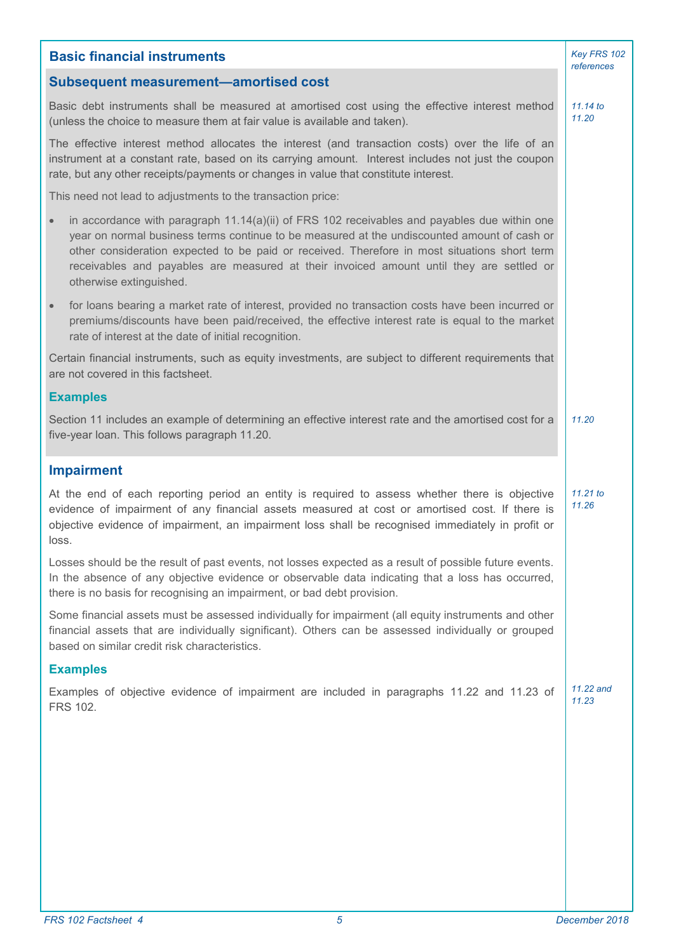| <b>Basic financial instruments</b>                                                                                                                                                                                                                                                                                                                                                                                                |                     |  |
|-----------------------------------------------------------------------------------------------------------------------------------------------------------------------------------------------------------------------------------------------------------------------------------------------------------------------------------------------------------------------------------------------------------------------------------|---------------------|--|
| <b>Subsequent measurement-amortised cost</b>                                                                                                                                                                                                                                                                                                                                                                                      | references          |  |
| Basic debt instruments shall be measured at amortised cost using the effective interest method<br>(unless the choice to measure them at fair value is available and taken).                                                                                                                                                                                                                                                       |                     |  |
| The effective interest method allocates the interest (and transaction costs) over the life of an<br>instrument at a constant rate, based on its carrying amount. Interest includes not just the coupon<br>rate, but any other receipts/payments or changes in value that constitute interest.                                                                                                                                     |                     |  |
| This need not lead to adjustments to the transaction price:                                                                                                                                                                                                                                                                                                                                                                       |                     |  |
| in accordance with paragraph $11.14(a)(ii)$ of FRS 102 receivables and payables due within one<br>$\bullet$<br>year on normal business terms continue to be measured at the undiscounted amount of cash or<br>other consideration expected to be paid or received. Therefore in most situations short term<br>receivables and payables are measured at their invoiced amount until they are settled or<br>otherwise extinguished. |                     |  |
| for loans bearing a market rate of interest, provided no transaction costs have been incurred or<br>$\bullet$<br>premiums/discounts have been paid/received, the effective interest rate is equal to the market<br>rate of interest at the date of initial recognition.                                                                                                                                                           |                     |  |
| Certain financial instruments, such as equity investments, are subject to different requirements that<br>are not covered in this factsheet.                                                                                                                                                                                                                                                                                       |                     |  |
| <b>Examples</b>                                                                                                                                                                                                                                                                                                                                                                                                                   |                     |  |
| Section 11 includes an example of determining an effective interest rate and the amortised cost for a<br>five-year loan. This follows paragraph 11.20.                                                                                                                                                                                                                                                                            | 11.20               |  |
| <b>Impairment</b>                                                                                                                                                                                                                                                                                                                                                                                                                 |                     |  |
| At the end of each reporting period an entity is required to assess whether there is objective<br>evidence of impairment of any financial assets measured at cost or amortised cost. If there is<br>objective evidence of impairment, an impairment loss shall be recognised immediately in profit or<br>loss.                                                                                                                    | $11.21$ to<br>11.26 |  |
| Losses should be the result of past events, not losses expected as a result of possible future events.<br>In the absence of any objective evidence or observable data indicating that a loss has occurred,<br>there is no basis for recognising an impairment, or bad debt provision.                                                                                                                                             |                     |  |
| Some financial assets must be assessed individually for impairment (all equity instruments and other<br>financial assets that are individually significant). Others can be assessed individually or grouped<br>based on similar credit risk characteristics.                                                                                                                                                                      |                     |  |
| <b>Examples</b>                                                                                                                                                                                                                                                                                                                                                                                                                   |                     |  |
| Examples of objective evidence of impairment are included in paragraphs 11.22 and 11.23 of<br>FRS 102.                                                                                                                                                                                                                                                                                                                            | 11.22 and<br>11.23  |  |
|                                                                                                                                                                                                                                                                                                                                                                                                                                   |                     |  |
|                                                                                                                                                                                                                                                                                                                                                                                                                                   |                     |  |
|                                                                                                                                                                                                                                                                                                                                                                                                                                   |                     |  |
|                                                                                                                                                                                                                                                                                                                                                                                                                                   |                     |  |
|                                                                                                                                                                                                                                                                                                                                                                                                                                   |                     |  |
|                                                                                                                                                                                                                                                                                                                                                                                                                                   |                     |  |
|                                                                                                                                                                                                                                                                                                                                                                                                                                   |                     |  |
| FRS 102 Factsheet 4<br>5                                                                                                                                                                                                                                                                                                                                                                                                          | December 2018       |  |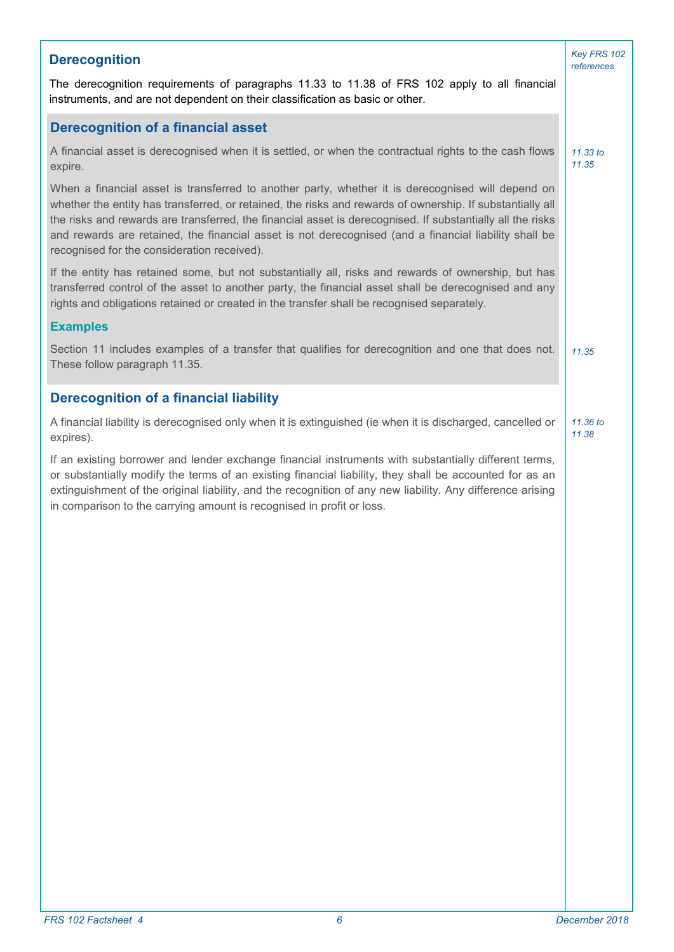| <b>Derecognition</b>                                                                                                                                                                                                                                                                                                                                                                                                                                                                 | Key FRS 102<br>references |
|--------------------------------------------------------------------------------------------------------------------------------------------------------------------------------------------------------------------------------------------------------------------------------------------------------------------------------------------------------------------------------------------------------------------------------------------------------------------------------------|---------------------------|
| The derecognition requirements of paragraphs 11.33 to 11.38 of FRS 102 apply to all financial<br>instruments, and are not dependent on their classification as basic or other.                                                                                                                                                                                                                                                                                                       |                           |
| <b>Derecognition of a financial asset</b>                                                                                                                                                                                                                                                                                                                                                                                                                                            |                           |
| A financial asset is derecognised when it is settled, or when the contractual rights to the cash flows<br>expire.                                                                                                                                                                                                                                                                                                                                                                    | 11.33 to<br>11.35         |
| When a financial asset is transferred to another party, whether it is derecognised will depend on<br>whether the entity has transferred, or retained, the risks and rewards of ownership. If substantially all<br>the risks and rewards are transferred, the financial asset is derecognised. If substantially all the risks<br>and rewards are retained, the financial asset is not derecognised (and a financial liability shall be<br>recognised for the consideration received). |                           |
| If the entity has retained some, but not substantially all, risks and rewards of ownership, but has<br>transferred control of the asset to another party, the financial asset shall be derecognised and any<br>rights and obligations retained or created in the transfer shall be recognised separately.                                                                                                                                                                            |                           |
| <b>Examples</b>                                                                                                                                                                                                                                                                                                                                                                                                                                                                      |                           |
| Section 11 includes examples of a transfer that qualifies for derecognition and one that does not.<br>These follow paragraph 11.35.                                                                                                                                                                                                                                                                                                                                                  | 11.35                     |
| <b>Derecognition of a financial liability</b>                                                                                                                                                                                                                                                                                                                                                                                                                                        |                           |
| A financial liability is derecognised only when it is extinguished (ie when it is discharged, cancelled or<br>expires).                                                                                                                                                                                                                                                                                                                                                              | 11.36 to<br>11.38         |
| If an existing borrower and lender exchange financial instruments with substantially different terms,<br>or substantially modify the terms of an existing financial liability, they shall be accounted for as an<br>extinguishment of the original liability, and the recognition of any new liability. Any difference arising<br>in comparison to the carrying amount is recognised in profit or loss.                                                                              |                           |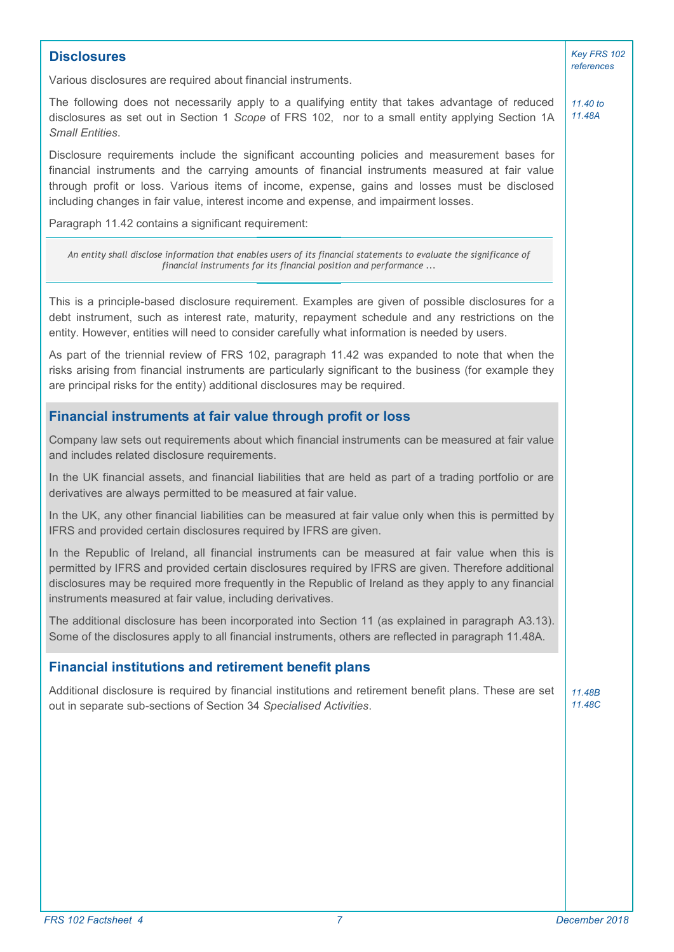| <b>Disclosures</b>                                                                                                                                                                                                                                                                                                                                                                      | Key FRS 102<br>references |
|-----------------------------------------------------------------------------------------------------------------------------------------------------------------------------------------------------------------------------------------------------------------------------------------------------------------------------------------------------------------------------------------|---------------------------|
| Various disclosures are required about financial instruments.                                                                                                                                                                                                                                                                                                                           |                           |
| The following does not necessarily apply to a qualifying entity that takes advantage of reduced<br>disclosures as set out in Section 1 Scope of FRS 102, nor to a small entity applying Section 1A<br><b>Small Entities.</b>                                                                                                                                                            | 11.40 to<br>11.48A        |
| Disclosure requirements include the significant accounting policies and measurement bases for<br>financial instruments and the carrying amounts of financial instruments measured at fair value<br>through profit or loss. Various items of income, expense, gains and losses must be disclosed<br>including changes in fair value, interest income and expense, and impairment losses. |                           |
| Paragraph 11.42 contains a significant requirement:                                                                                                                                                                                                                                                                                                                                     |                           |
| An entity shall disclose information that enables users of its financial statements to evaluate the significance of<br>financial instruments for its financial position and performance                                                                                                                                                                                                 |                           |
| This is a principle-based disclosure requirement. Examples are given of possible disclosures for a<br>debt instrument, such as interest rate, maturity, repayment schedule and any restrictions on the<br>entity. However, entities will need to consider carefully what information is needed by users.                                                                                |                           |
| As part of the triennial review of FRS 102, paragraph 11.42 was expanded to note that when the<br>risks arising from financial instruments are particularly significant to the business (for example they<br>are principal risks for the entity) additional disclosures may be required.                                                                                                |                           |
| Financial instruments at fair value through profit or loss                                                                                                                                                                                                                                                                                                                              |                           |
| Company law sets out requirements about which financial instruments can be measured at fair value<br>and includes related disclosure requirements.                                                                                                                                                                                                                                      |                           |
| In the UK financial assets, and financial liabilities that are held as part of a trading portfolio or are<br>derivatives are always permitted to be measured at fair value.                                                                                                                                                                                                             |                           |
| In the UK, any other financial liabilities can be measured at fair value only when this is permitted by<br>IFRS and provided certain disclosures required by IFRS are given.                                                                                                                                                                                                            |                           |
| In the Republic of Ireland, all financial instruments can be measured at fair value when this is<br>permitted by IFRS and provided certain disclosures required by IFRS are given. Therefore additional<br>disclosures may be required more frequently in the Republic of Ireland as they apply to any financial<br>instruments measured at fair value, including derivatives.          |                           |
| The additional disclosure has been incorporated into Section 11 (as explained in paragraph A3.13).<br>Some of the disclosures apply to all financial instruments, others are reflected in paragraph 11.48A.                                                                                                                                                                             |                           |
| <b>Financial institutions and retirement benefit plans</b>                                                                                                                                                                                                                                                                                                                              |                           |
| Additional disclosure is required by financial institutions and retirement benefit plans. These are set<br>out in separate sub-sections of Section 34 Specialised Activities.                                                                                                                                                                                                           | 11.48B<br>11.48C          |
|                                                                                                                                                                                                                                                                                                                                                                                         |                           |
|                                                                                                                                                                                                                                                                                                                                                                                         |                           |
|                                                                                                                                                                                                                                                                                                                                                                                         |                           |
|                                                                                                                                                                                                                                                                                                                                                                                         |                           |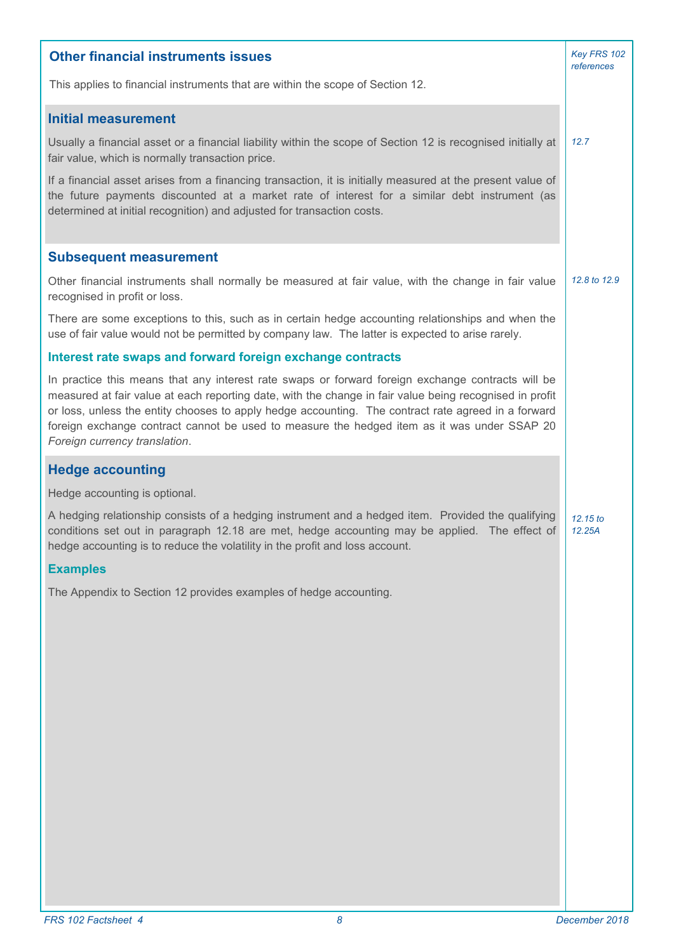| <b>Other financial instruments issues</b>                                                                                                                                                                                                                                                                                                                                                                                                           |                    |  |
|-----------------------------------------------------------------------------------------------------------------------------------------------------------------------------------------------------------------------------------------------------------------------------------------------------------------------------------------------------------------------------------------------------------------------------------------------------|--------------------|--|
| This applies to financial instruments that are within the scope of Section 12.                                                                                                                                                                                                                                                                                                                                                                      |                    |  |
| <b>Initial measurement</b>                                                                                                                                                                                                                                                                                                                                                                                                                          |                    |  |
| Usually a financial asset or a financial liability within the scope of Section 12 is recognised initially at<br>fair value, which is normally transaction price.                                                                                                                                                                                                                                                                                    | 12.7               |  |
| If a financial asset arises from a financing transaction, it is initially measured at the present value of<br>the future payments discounted at a market rate of interest for a similar debt instrument (as<br>determined at initial recognition) and adjusted for transaction costs.                                                                                                                                                               |                    |  |
| <b>Subsequent measurement</b>                                                                                                                                                                                                                                                                                                                                                                                                                       |                    |  |
| Other financial instruments shall normally be measured at fair value, with the change in fair value<br>recognised in profit or loss.                                                                                                                                                                                                                                                                                                                | 12.8 to 12.9       |  |
| There are some exceptions to this, such as in certain hedge accounting relationships and when the<br>use of fair value would not be permitted by company law. The latter is expected to arise rarely.                                                                                                                                                                                                                                               |                    |  |
| Interest rate swaps and forward foreign exchange contracts                                                                                                                                                                                                                                                                                                                                                                                          |                    |  |
| In practice this means that any interest rate swaps or forward foreign exchange contracts will be<br>measured at fair value at each reporting date, with the change in fair value being recognised in profit<br>or loss, unless the entity chooses to apply hedge accounting. The contract rate agreed in a forward<br>foreign exchange contract cannot be used to measure the hedged item as it was under SSAP 20<br>Foreign currency translation. |                    |  |
| <b>Hedge accounting</b>                                                                                                                                                                                                                                                                                                                                                                                                                             |                    |  |
| Hedge accounting is optional.                                                                                                                                                                                                                                                                                                                                                                                                                       |                    |  |
| A hedging relationship consists of a hedging instrument and a hedged item. Provided the qualifying<br>conditions set out in paragraph 12.18 are met, hedge accounting may be applied. The effect of<br>hedge accounting is to reduce the volatility in the profit and loss account.                                                                                                                                                                 | 12.15 to<br>12.25A |  |
| <b>Examples</b>                                                                                                                                                                                                                                                                                                                                                                                                                                     |                    |  |
| The Appendix to Section 12 provides examples of hedge accounting.                                                                                                                                                                                                                                                                                                                                                                                   |                    |  |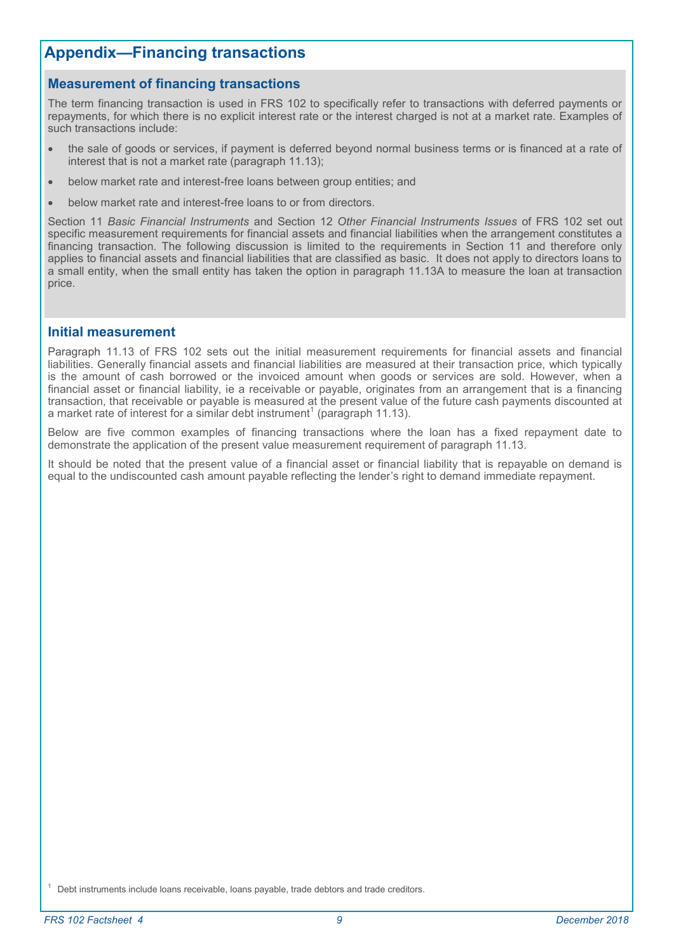### **Measurement of financing transactions**

The term financing transaction is used in FRS 102 to specifically refer to transactions with deferred payments or repayments, for which there is no explicit interest rate or the interest charged is not at a market rate. Examples of such transactions include:

- the sale of goods or services, if payment is deferred beyond normal business terms or is financed at a rate of interest that is not a market rate (paragraph 11.13);
- below market rate and interest-free loans between group entities; and
- below market rate and interest-free loans to or from directors.

Section 11 *Basic Financial Instruments* and Section 12 *Other Financial Instruments Issues* of FRS 102 set out specific measurement requirements for financial assets and financial liabilities when the arrangement constitutes a financing transaction. The following discussion is limited to the requirements in Section 11 and therefore only applies to financial assets and financial liabilities that are classified as basic. It does not apply to directors loans to a small entity, when the small entity has taken the option in paragraph 11.13A to measure the loan at transaction price.

#### **Initial measurement**

Paragraph 11.13 of FRS 102 sets out the initial measurement requirements for financial assets and financial liabilities. Generally financial assets and financial liabilities are measured at their transaction price, which typically is the amount of cash borrowed or the invoiced amount when goods or services are sold. However, when a financial asset or financial liability, ie a receivable or payable, originates from an arrangement that is a financing transaction, that receivable or payable is measured at the present value of the future cash payments discounted at a market rate of interest for a similar debt instrument<sup>1</sup> (paragraph 11.13).

Below are five common examples of financing transactions where the loan has a fixed repayment date to demonstrate the application of the present value measurement requirement of paragraph 11.13.

It should be noted that the present value of a financial asset or financial liability that is repayable on demand is equal to the undiscounted cash amount payable reflecting the lender's right to demand immediate repayment.

Debt instruments include loans receivable, loans payable, trade debtors and trade creditors.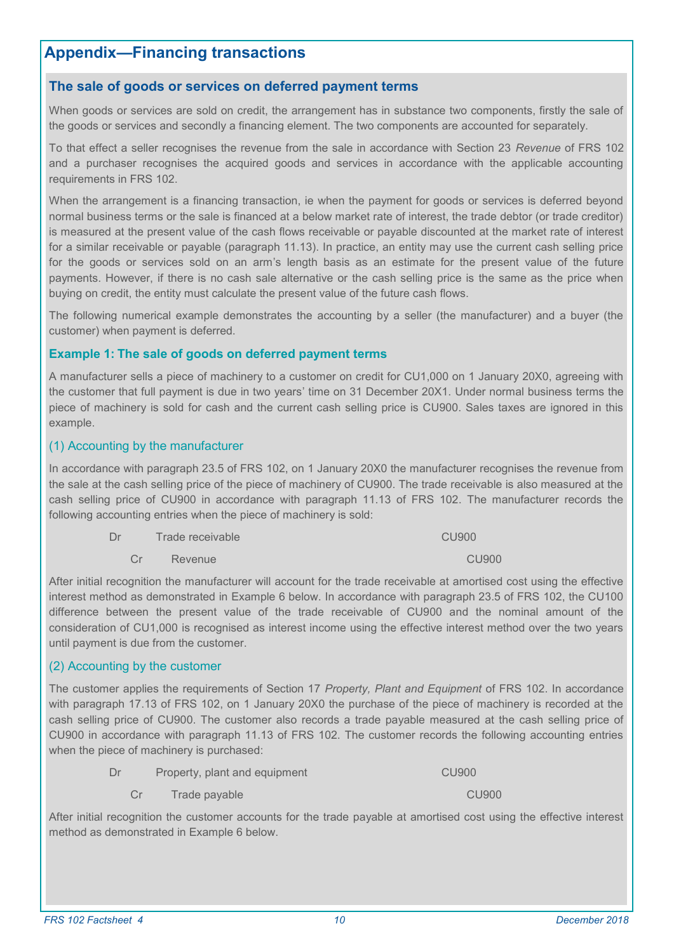### **The sale of goods or services on deferred payment terms**

When goods or services are sold on credit, the arrangement has in substance two components, firstly the sale of the goods or services and secondly a financing element. The two components are accounted for separately.

To that effect a seller recognises the revenue from the sale in accordance with Section 23 *Revenue* of FRS 102 and a purchaser recognises the acquired goods and services in accordance with the applicable accounting requirements in FRS 102.

When the arrangement is a financing transaction, ie when the payment for goods or services is deferred beyond normal business terms or the sale is financed at a below market rate of interest, the trade debtor (or trade creditor) is measured at the present value of the cash flows receivable or payable discounted at the market rate of interest for a similar receivable or payable (paragraph 11.13). In practice, an entity may use the current cash selling price for the goods or services sold on an arm's length basis as an estimate for the present value of the future payments. However, if there is no cash sale alternative or the cash selling price is the same as the price when buying on credit, the entity must calculate the present value of the future cash flows.

The following numerical example demonstrates the accounting by a seller (the manufacturer) and a buyer (the customer) when payment is deferred.

#### **Example 1: The sale of goods on deferred payment terms**

A manufacturer sells a piece of machinery to a customer on credit for CU1,000 on 1 January 20X0, agreeing with the customer that full payment is due in two years' time on 31 December 20X1. Under normal business terms the piece of machinery is sold for cash and the current cash selling price is CU900. Sales taxes are ignored in this example.

#### (1) Accounting by the manufacturer

In accordance with paragraph 23.5 of FRS 102, on 1 January 20X0 the manufacturer recognises the revenue from the sale at the cash selling price of the piece of machinery of CU900. The trade receivable is also measured at the cash selling price of CU900 in accordance with paragraph 11.13 of FRS 102. The manufacturer records the following accounting entries when the piece of machinery is sold:

| Dr | Trade receivable | <b>CU900</b> |
|----|------------------|--------------|
|    |                  |              |

Cr Revenue CU900

After initial recognition the manufacturer will account for the trade receivable at amortised cost using the effective interest method as demonstrated in Example 6 below. In accordance with paragraph 23.5 of FRS 102, the CU100 difference between the present value of the trade receivable of CU900 and the nominal amount of the consideration of CU1,000 is recognised as interest income using the effective interest method over the two years until payment is due from the customer.

### (2) Accounting by the customer

The customer applies the requirements of Section 17 *Property, Plant and Equipment* of FRS 102. In accordance with paragraph 17.13 of FRS 102, on 1 January 20X0 the purchase of the piece of machinery is recorded at the cash selling price of CU900. The customer also records a trade payable measured at the cash selling price of CU900 in accordance with paragraph 11.13 of FRS 102. The customer records the following accounting entries when the piece of machinery is purchased:

- Dr Property, plant and equipment CU900
	- Cr Trade payable CU900

After initial recognition the customer accounts for the trade payable at amortised cost using the effective interest method as demonstrated in Example 6 below.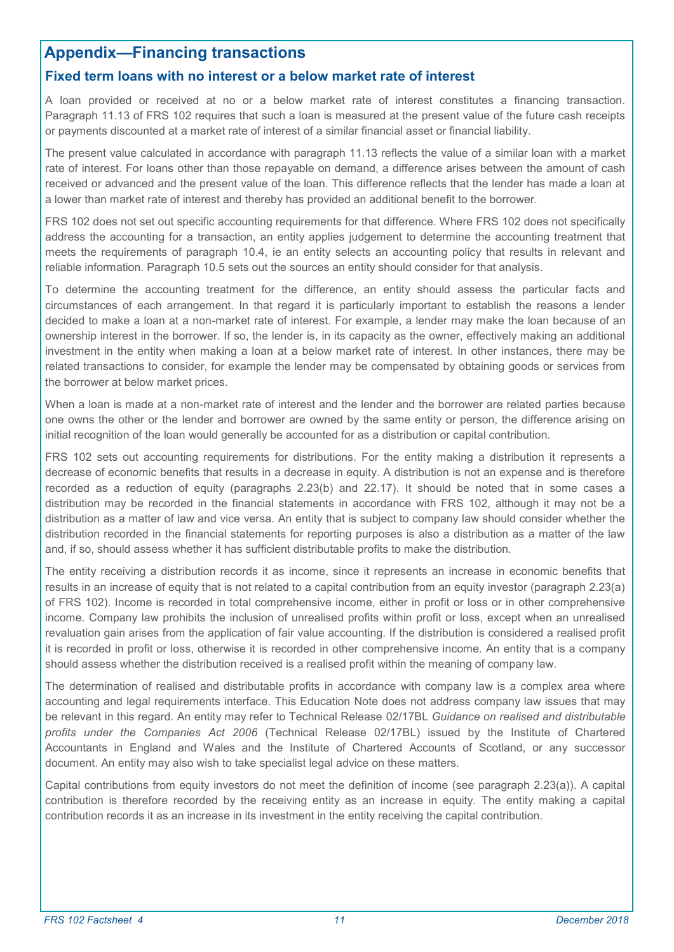### **Fixed term loans with no interest or a below market rate of interest**

A loan provided or received at no or a below market rate of interest constitutes a financing transaction. Paragraph 11.13 of FRS 102 requires that such a loan is measured at the present value of the future cash receipts or payments discounted at a market rate of interest of a similar financial asset or financial liability.

The present value calculated in accordance with paragraph 11.13 reflects the value of a similar loan with a market rate of interest. For loans other than those repayable on demand, a difference arises between the amount of cash received or advanced and the present value of the loan. This difference reflects that the lender has made a loan at a lower than market rate of interest and thereby has provided an additional benefit to the borrower.

FRS 102 does not set out specific accounting requirements for that difference. Where FRS 102 does not specifically address the accounting for a transaction, an entity applies judgement to determine the accounting treatment that meets the requirements of paragraph 10.4, ie an entity selects an accounting policy that results in relevant and reliable information. Paragraph 10.5 sets out the sources an entity should consider for that analysis.

To determine the accounting treatment for the difference, an entity should assess the particular facts and circumstances of each arrangement. In that regard it is particularly important to establish the reasons a lender decided to make a loan at a non-market rate of interest. For example, a lender may make the loan because of an ownership interest in the borrower. If so, the lender is, in its capacity as the owner, effectively making an additional investment in the entity when making a loan at a below market rate of interest. In other instances, there may be related transactions to consider, for example the lender may be compensated by obtaining goods or services from the borrower at below market prices.

When a loan is made at a non-market rate of interest and the lender and the borrower are related parties because one owns the other or the lender and borrower are owned by the same entity or person, the difference arising on initial recognition of the loan would generally be accounted for as a distribution or capital contribution.

FRS 102 sets out accounting requirements for distributions. For the entity making a distribution it represents a decrease of economic benefits that results in a decrease in equity. A distribution is not an expense and is therefore recorded as a reduction of equity (paragraphs 2.23(b) and 22.17). It should be noted that in some cases a distribution may be recorded in the financial statements in accordance with FRS 102, although it may not be a distribution as a matter of law and vice versa. An entity that is subject to company law should consider whether the distribution recorded in the financial statements for reporting purposes is also a distribution as a matter of the law and, if so, should assess whether it has sufficient distributable profits to make the distribution.

The entity receiving a distribution records it as income, since it represents an increase in economic benefits that results in an increase of equity that is not related to a capital contribution from an equity investor (paragraph 2.23(a) of FRS 102). Income is recorded in total comprehensive income, either in profit or loss or in other comprehensive income. Company law prohibits the inclusion of unrealised profits within profit or loss, except when an unrealised revaluation gain arises from the application of fair value accounting. If the distribution is considered a realised profit it is recorded in profit or loss, otherwise it is recorded in other comprehensive income. An entity that is a company should assess whether the distribution received is a realised profit within the meaning of company law.

The determination of realised and distributable profits in accordance with company law is a complex area where accounting and legal requirements interface. This Education Note does not address company law issues that may be relevant in this regard. An entity may refer to Technical Release 02/17BL *Guidance on realised and distributable profits under the Companies Act 2006* (Technical Release 02/17BL) issued by the Institute of Chartered Accountants in England and Wales and the Institute of Chartered Accounts of Scotland, or any successor document. An entity may also wish to take specialist legal advice on these matters.

Capital contributions from equity investors do not meet the definition of income (see paragraph 2.23(a)). A capital contribution is therefore recorded by the receiving entity as an increase in equity. The entity making a capital contribution records it as an increase in its investment in the entity receiving the capital contribution.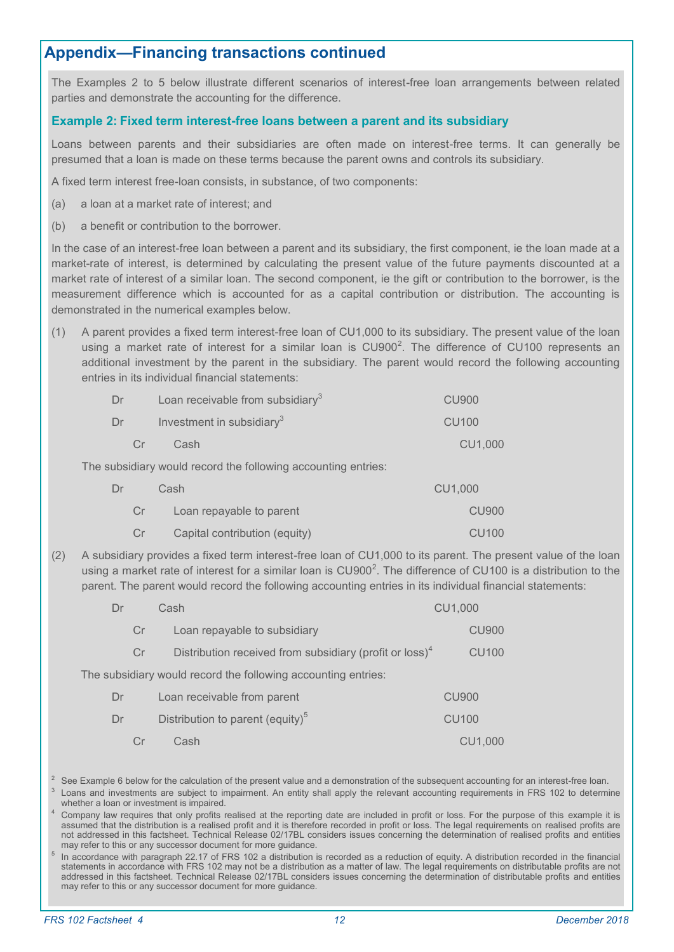## **Appendix—Financing transactions continued**

The Examples 2 to 5 below illustrate different scenarios of interest-free loan arrangements between related parties and demonstrate the accounting for the difference.

### **Example 2: Fixed term interest-free loans between a parent and its subsidiary**

Loans between parents and their subsidiaries are often made on interest-free terms. It can generally be presumed that a loan is made on these terms because the parent owns and controls its subsidiary.

A fixed term interest free-loan consists, in substance, of two components:

- (a) a loan at a market rate of interest; and
- (b) a benefit or contribution to the borrower.

In the case of an interest-free loan between a parent and its subsidiary, the first component, ie the loan made at a market-rate of interest, is determined by calculating the present value of the future payments discounted at a market rate of interest of a similar loan. The second component, ie the gift or contribution to the borrower, is the measurement difference which is accounted for as a capital contribution or distribution. The accounting is demonstrated in the numerical examples below.

(1) A parent provides a fixed term interest-free loan of CU1,000 to its subsidiary. The present value of the loan using a market rate of interest for a similar loan is  $CU900^2$ . The difference of CU100 represents an additional investment by the parent in the subsidiary. The parent would record the following accounting entries in its individual financial statements:

| Dr                                                            | Loan receivable from subsidiary $3$ | <b>CU900</b> |
|---------------------------------------------------------------|-------------------------------------|--------------|
| Dr                                                            | Investment in subsidiary $3$        | <b>CU100</b> |
| Cr                                                            | Cash                                | CU1,000      |
| The subsidiary would record the following accounting entries: |                                     |              |
| Dr.                                                           | Cash                                | CU1,000      |
|                                                               |                                     |              |

Cr Loan repayable to parent CU900 CU900

| Capital contribution (equity)                                                                      | CU <sub>100</sub> |
|----------------------------------------------------------------------------------------------------|-------------------|
| subsidiary provides a fixed term interest-free loan of CU1,000 to its parent. The present value of |                   |

(2) A subsidiary provides a fixed term interest-free loan of CU1,000 to its parent. The present value of the loan using a market rate of interest for a similar loan is  $\textsf{C} \textsf{U} 900^2$ . The difference of CU100 is a distribution to the parent. The parent would record the following accounting entries in its individual financial statements:

| Dr | Cash                                                                | CU1,000      |
|----|---------------------------------------------------------------------|--------------|
| Cr | Loan repayable to subsidiary                                        | <b>CU900</b> |
| Cr | Distribution received from subsidiary (profit or loss) <sup>4</sup> | <b>CU100</b> |
|    | The subsidiary would record the following accounting entries:       |              |
| Dr | Loan receivable from parent                                         | <b>CU900</b> |
| Dr | Distribution to parent (equity) <sup>5</sup>                        | <b>CU100</b> |
|    | Cash                                                                | CU1,000      |

 $2\text{}$  See Example 6 below for the calculation of the present value and a demonstration of the subsequent accounting for an interest-free loan. 3 Loans and investments are subject to impairment. An entity shall apply the relevant accounting requirements in FRS 102 to determine whether a loan or investment is impaired.

<sup>4</sup> Company law requires that only profits realised at the reporting date are included in profit or loss. For the purpose of this example it is assumed that the distribution is a realised profit and it is therefore recorded in profit or loss. The legal requirements on realised profits are not addressed in this factsheet. Technical Release 02/17BL considers issues concerning the determination of realised profits and entities may refer to this or any successor document for more guidance.

5 In accordance with paragraph 22.17 of FRS 102 a distribution is recorded as a reduction of equity. A distribution recorded in the financial statements in accordance with FRS 102 may not be a distribution as a matter of law. The legal requirements on distributable profits are not addressed in this factsheet. Technical Release 02/17BL considers issues concerning the determination of distributable profits and entities may refer to this or any successor document for more guidance.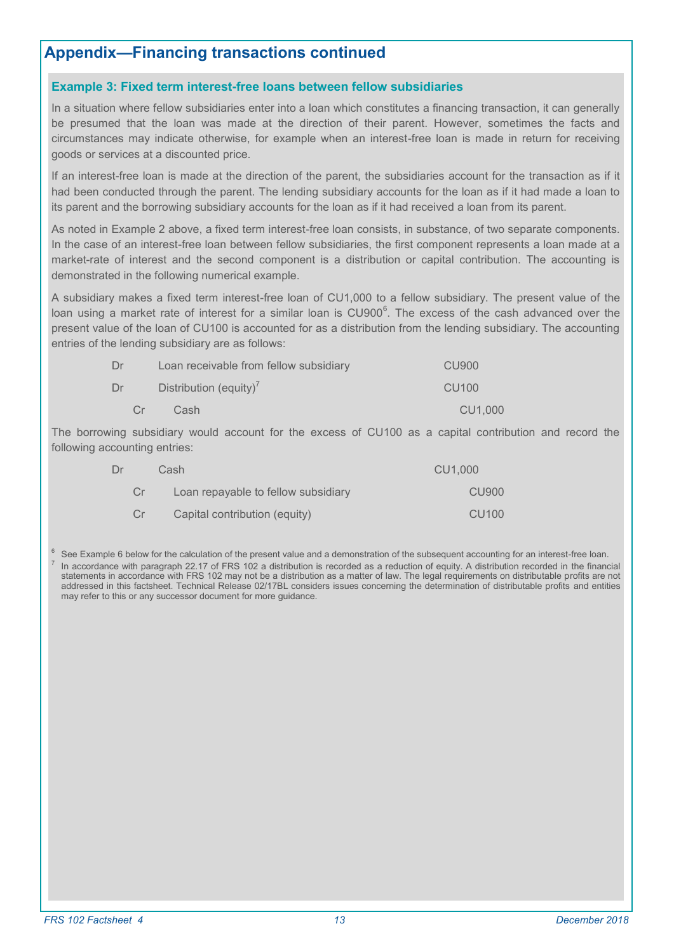## **Appendix—Financing transactions continued**

#### **Example 3: Fixed term interest-free loans between fellow subsidiaries**

In a situation where fellow subsidiaries enter into a loan which constitutes a financing transaction, it can generally be presumed that the loan was made at the direction of their parent. However, sometimes the facts and circumstances may indicate otherwise, for example when an interest-free loan is made in return for receiving goods or services at a discounted price.

If an interest-free loan is made at the direction of the parent, the subsidiaries account for the transaction as if it had been conducted through the parent. The lending subsidiary accounts for the loan as if it had made a loan to its parent and the borrowing subsidiary accounts for the loan as if it had received a loan from its parent.

As noted in Example 2 above, a fixed term interest-free loan consists, in substance, of two separate components. In the case of an interest-free loan between fellow subsidiaries, the first component represents a loan made at a market-rate of interest and the second component is a distribution or capital contribution. The accounting is demonstrated in the following numerical example.

A subsidiary makes a fixed term interest-free loan of CU1,000 to a fellow subsidiary. The present value of the loan using a market rate of interest for a similar loan is  $\mathsf{C} \mathsf{U} 900^6.$  The excess of the cash advanced over the present value of the loan of CU100 is accounted for as a distribution from the lending subsidiary. The accounting entries of the lending subsidiary are as follows:

| Dr |         | Loan receivable from fellow subsidiary | CU900             |
|----|---------|----------------------------------------|-------------------|
| Dr |         | Distribution (equity) <sup>7</sup>     | CU <sub>100</sub> |
|    | $C_{r}$ | Cash                                   | CU1.000           |

The borrowing subsidiary would account for the excess of CU100 as a capital contribution and record the following accounting entries:

| Dr  | Cash                                | CU1.000           |  |
|-----|-------------------------------------|-------------------|--|
| Cr. | Loan repayable to fellow subsidiary | CU900             |  |
| Cr  | Capital contribution (equity)       | CU <sub>100</sub> |  |

See Example 6 below for the calculation of the present value and a demonstration of the subsequent accounting for an interest-free loan. 7 In accordance with paragraph 22.17 of FRS 102 a distribution is recorded as a reduction of equity. A distribution recorded in the financial statements in accordance with FRS 102 may not be a distribution as a matter of law. The legal requirements on distributable profits are not addressed in this factsheet. Technical Release 02/17BL considers issues concerning the determination of distributable profits and entities may refer to this or any successor document for more guidance.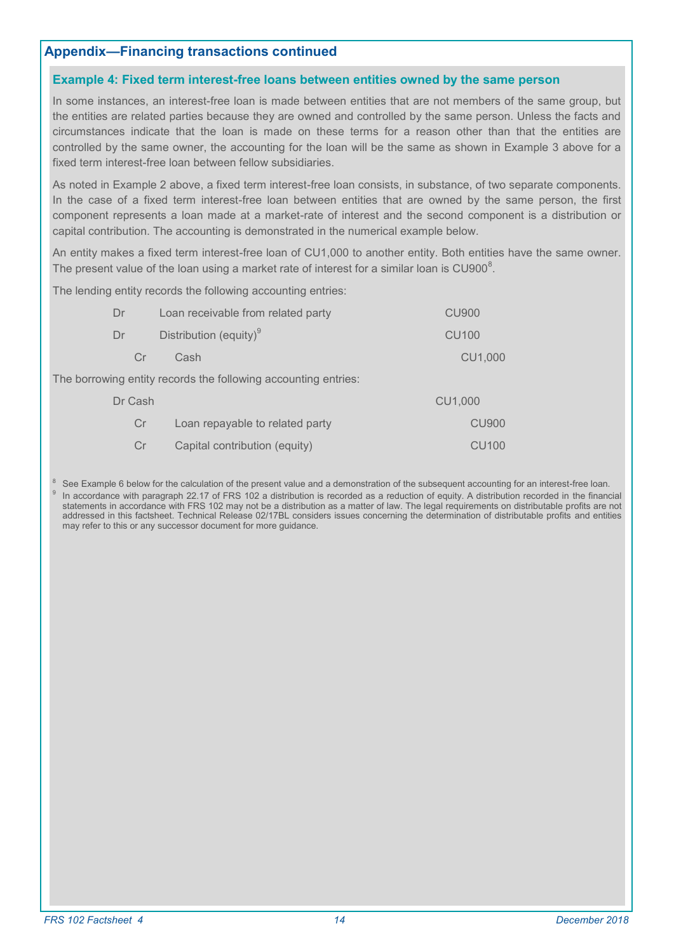### **Appendix—Financing transactions continued**

#### **Example 4: Fixed term interest-free loans between entities owned by the same person**

In some instances, an interest-free loan is made between entities that are not members of the same group, but the entities are related parties because they are owned and controlled by the same person. Unless the facts and circumstances indicate that the loan is made on these terms for a reason other than that the entities are controlled by the same owner, the accounting for the loan will be the same as shown in Example 3 above for a fixed term interest-free loan between fellow subsidiaries.

As noted in Example 2 above, a fixed term interest-free loan consists, in substance, of two separate components. In the case of a fixed term interest-free loan between entities that are owned by the same person, the first component represents a loan made at a market-rate of interest and the second component is a distribution or capital contribution. The accounting is demonstrated in the numerical example below.

An entity makes a fixed term interest-free loan of CU1,000 to another entity. Both entities have the same owner. The present value of the loan using a market rate of interest for a similar loan is CU900 $^8$ .

The lending entity records the following accounting entries:

| Dr<br>Loan receivable from related party                       |                                    | <b>CU900</b>      |  |  |
|----------------------------------------------------------------|------------------------------------|-------------------|--|--|
| Dr                                                             | Distribution (equity) <sup>9</sup> | <b>CU100</b>      |  |  |
| Cr                                                             | Cash                               | CU1,000           |  |  |
| The borrowing entity records the following accounting entries: |                                    |                   |  |  |
| Dr Cash                                                        |                                    | CU1,000           |  |  |
| Cr                                                             | Loan repayable to related party    | <b>CU900</b>      |  |  |
| Cr                                                             | Capital contribution (equity)      | CU <sub>100</sub> |  |  |

 $8$  See Example 6 below for the calculation of the present value and a demonstration of the subsequent accounting for an interest-free loan. 9 In accordance with paragraph 22.17 of FRS 102 a distribution is recorded as a reduction of equity. A distribution recorded in the financial statements in accordance with FRS 102 may not be a distribution as a matter of law. The legal requirements on distributable profits are not addressed in this factsheet. Technical Release 02/17BL considers issues concerning the determination of distributable profits and entities may refer to this or any successor document for more guidance.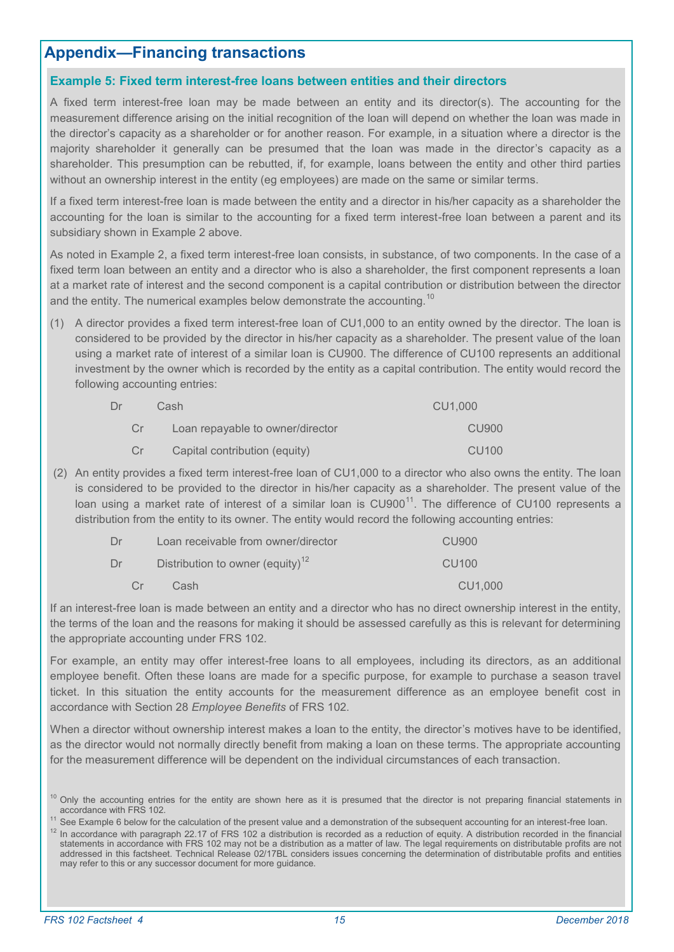#### **Example 5: Fixed term interest-free loans between entities and their directors**

A fixed term interest-free loan may be made between an entity and its director(s). The accounting for the measurement difference arising on the initial recognition of the loan will depend on whether the loan was made in the director's capacity as a shareholder or for another reason. For example, in a situation where a director is the majority shareholder it generally can be presumed that the loan was made in the director's capacity as a shareholder. This presumption can be rebutted, if, for example, loans between the entity and other third parties without an ownership interest in the entity (eg employees) are made on the same or similar terms.

If a fixed term interest-free loan is made between the entity and a director in his/her capacity as a shareholder the accounting for the loan is similar to the accounting for a fixed term interest-free loan between a parent and its subsidiary shown in Example 2 above.

As noted in Example 2, a fixed term interest-free loan consists, in substance, of two components. In the case of a fixed term loan between an entity and a director who is also a shareholder, the first component represents a loan at a market rate of interest and the second component is a capital contribution or distribution between the director and the entity. The numerical examples below demonstrate the accounting.<sup>10</sup>

(1) A director provides a fixed term interest-free loan of CU1,000 to an entity owned by the director. The loan is considered to be provided by the director in his/her capacity as a shareholder. The present value of the loan using a market rate of interest of a similar loan is CU900. The difference of CU100 represents an additional investment by the owner which is recorded by the entity as a capital contribution. The entity would record the following accounting entries:

| Dr | Cash                             | CU1.000           |
|----|----------------------------------|-------------------|
| Cr | Loan repayable to owner/director | CU900             |
| Cr | Capital contribution (equity)    | CU <sub>100</sub> |

(2) An entity provides a fixed term interest-free loan of CU1,000 to a director who also owns the entity. The loan is considered to be provided to the director in his/her capacity as a shareholder. The present value of the loan using a market rate of interest of a similar loan is  $CU900<sup>11</sup>$ . The difference of CU100 represents a distribution from the entity to its owner. The entity would record the following accounting entries:

| Dr | Loan receivable from owner/director          | CU900             |
|----|----------------------------------------------|-------------------|
| Dr | Distribution to owner (equity) <sup>12</sup> | CU <sub>100</sub> |
| Cr | Cash                                         | CU1,000           |

If an interest-free loan is made between an entity and a director who has no direct ownership interest in the entity, the terms of the loan and the reasons for making it should be assessed carefully as this is relevant for determining the appropriate accounting under FRS 102.

For example, an entity may offer interest-free loans to all employees, including its directors, as an additional employee benefit. Often these loans are made for a specific purpose, for example to purchase a season travel ticket. In this situation the entity accounts for the measurement difference as an employee benefit cost in accordance with Section 28 *Employee Benefits* of FRS 102.

When a director without ownership interest makes a loan to the entity, the director's motives have to be identified, as the director would not normally directly benefit from making a loan on these terms. The appropriate accounting for the measurement difference will be dependent on the individual circumstances of each transaction.

<sup>&</sup>lt;sup>10</sup> Only the accounting entries for the entity are shown here as it is presumed that the director is not preparing financial statements in accordance with FRS 102.

<sup>&</sup>lt;sup>11</sup> See Example 6 below for the calculation of the present value and a demonstration of the subsequent accounting for an interest-free loan.

<sup>&</sup>lt;sup>12</sup> In accordance with paragraph 22.17 of FRS 102 a distribution is recorded as a reduction of equity. A distribution recorded in the financial statements in accordance with FRS 102 may not be a distribution as a matter of law. The legal requirements on distributable profits are not addressed in this factsheet. Technical Release 02/17BL considers issues concerning the determination of distributable profits and entities may refer to this or any successor document for more guidance.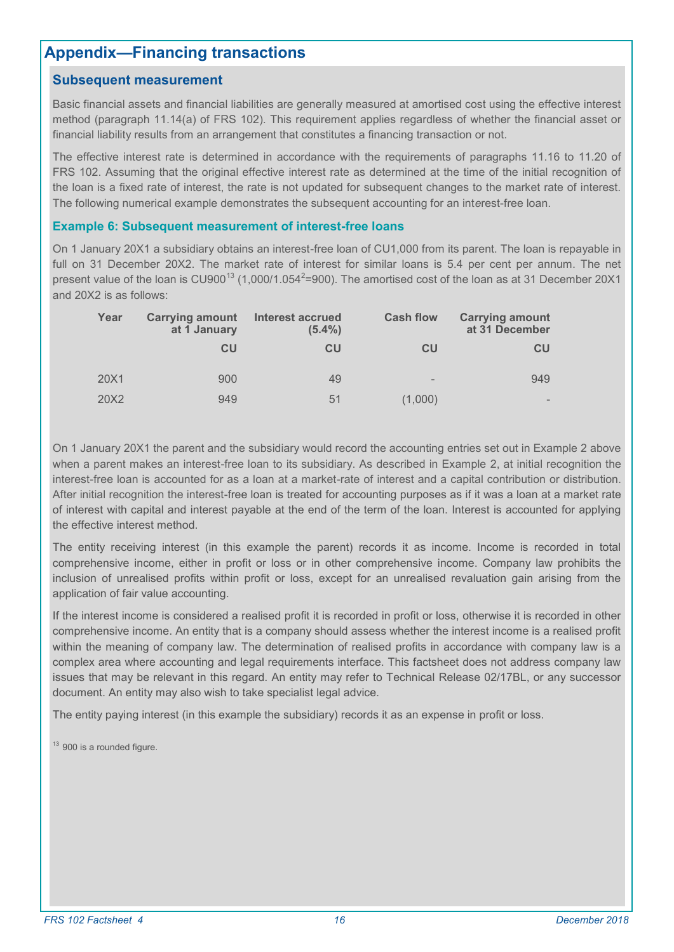### **Subsequent measurement**

Basic financial assets and financial liabilities are generally measured at amortised cost using the effective interest method (paragraph 11.14(a) of FRS 102). This requirement applies regardless of whether the financial asset or financial liability results from an arrangement that constitutes a financing transaction or not.

The effective interest rate is determined in accordance with the requirements of paragraphs 11.16 to 11.20 of FRS 102. Assuming that the original effective interest rate as determined at the time of the initial recognition of the loan is a fixed rate of interest, the rate is not updated for subsequent changes to the market rate of interest. The following numerical example demonstrates the subsequent accounting for an int*e*rest-free loan.

#### **Example 6: Subsequent measurement of interest-free loans**

On 1 January 20X1 a subsidiary obtains an interest-free loan of CU1,000 from its parent. The loan is repayable in full on 31 December 20X2. The market rate of interest for similar loans is 5.4 per cent per annum. The net present value of the loan is CU900 $^{13}$  (1,000/1.054 $^{2}$ =900). The amortised cost of the loan as at 31 December 20X1 and 20X2 is as follows:

| Year | <b>Carrying amount</b><br>at 1 January | <b>Interest accrued</b><br>$(5.4\%)$ | <b>Cash flow</b>  | <b>Carrying amount</b><br>at 31 December |
|------|----------------------------------------|--------------------------------------|-------------------|------------------------------------------|
|      | CU                                     | <b>CU</b>                            | <b>CU</b>         | CU                                       |
| 20X1 | 900                                    | 49                                   | $\qquad \qquad =$ | 949                                      |
| 20X2 | 949                                    | 51                                   | (1,000)           |                                          |

On 1 January 20X1 the parent and the subsidiary would record the accounting entries set out in Example 2 above when a parent makes an interest-free loan to its subsidiary. As described in Example 2, at initial recognition the interest-free loan is accounted for as a loan at a market-rate of interest and a capital contribution or distribution. After initial recognition the interest-free loan is treated for accounting purposes as if it was a loan at a market rate of interest with capital and interest payable at the end of the term of the loan. Interest is accounted for applying the effective interest method.

The entity receiving interest (in this example the parent) records it as income. Income is recorded in total comprehensive income, either in profit or loss or in other comprehensive income. Company law prohibits the inclusion of unrealised profits within profit or loss, except for an unrealised revaluation gain arising from the application of fair value accounting.

If the interest income is considered a realised profit it is recorded in profit or loss, otherwise it is recorded in other comprehensive income. An entity that is a company should assess whether the interest income is a realised profit within the meaning of company law. The determination of realised profits in accordance with company law is a complex area where accounting and legal requirements interface. This factsheet does not address company law issues that may be relevant in this regard. An entity may refer to Technical Release 02/17BL, or any successor document. An entity may also wish to take specialist legal advice.

The entity paying interest (in this example the subsidiary) records it as an expense in profit or loss.

 $13$  900 is a rounded figure.